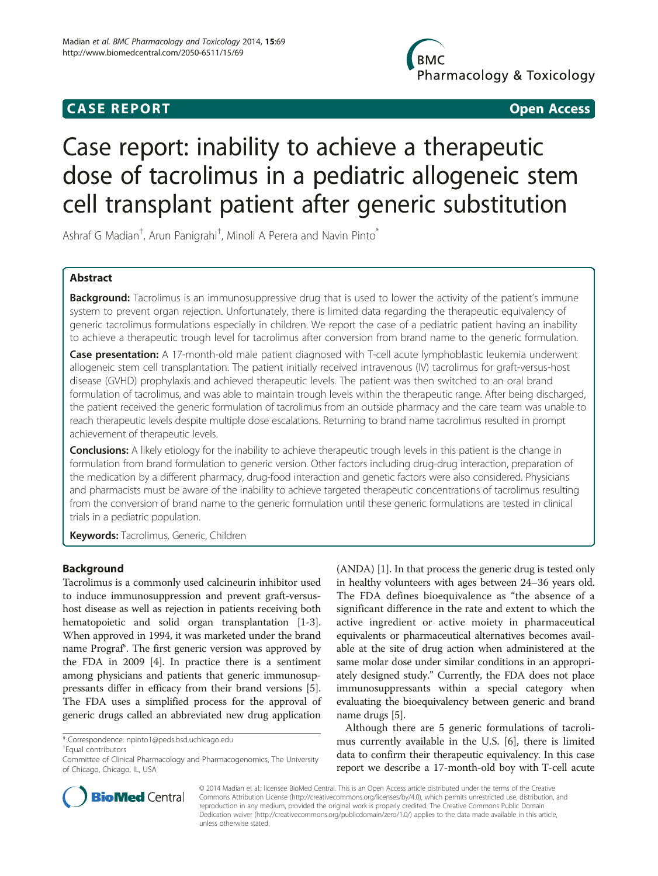## **CASE REPORT CASE REPORT CASE REPORT**

# Case report: inability to achieve a therapeutic dose of tacrolimus in a pediatric allogeneic stem cell transplant patient after generic substitution

Ashraf G Madian<sup>†</sup>, Arun Panigrahi<sup>†</sup>, Minoli A Perera and Navin Pinto<sup>\*</sup>

## Abstract

Background: Tacrolimus is an immunosuppressive drug that is used to lower the activity of the patient's immune system to prevent organ rejection. Unfortunately, there is limited data regarding the therapeutic equivalency of generic tacrolimus formulations especially in children. We report the case of a pediatric patient having an inability to achieve a therapeutic trough level for tacrolimus after conversion from brand name to the generic formulation.

Case presentation: A 17-month-old male patient diagnosed with T-cell acute lymphoblastic leukemia underwent allogeneic stem cell transplantation. The patient initially received intravenous (IV) tacrolimus for graft-versus-host disease (GVHD) prophylaxis and achieved therapeutic levels. The patient was then switched to an oral brand formulation of tacrolimus, and was able to maintain trough levels within the therapeutic range. After being discharged, the patient received the generic formulation of tacrolimus from an outside pharmacy and the care team was unable to reach therapeutic levels despite multiple dose escalations. Returning to brand name tacrolimus resulted in prompt achievement of therapeutic levels.

Conclusions: A likely etiology for the inability to achieve therapeutic trough levels in this patient is the change in formulation from brand formulation to generic version. Other factors including drug-drug interaction, preparation of the medication by a different pharmacy, drug-food interaction and genetic factors were also considered. Physicians and pharmacists must be aware of the inability to achieve targeted therapeutic concentrations of tacrolimus resulting from the conversion of brand name to the generic formulation until these generic formulations are tested in clinical trials in a pediatric population.

Keywords: Tacrolimus, Generic, Children

## Background

Tacrolimus is a commonly used calcineurin inhibitor used to induce immunosuppression and prevent graft-versushost disease as well as rejection in patients receiving both hematopoietic and solid organ transplantation [\[1](#page-4-0)-[3](#page-4-0)]. When approved in 1994, it was marketed under the brand name Prograf®. The first generic version was approved by the FDA in 2009 [[4\]](#page-4-0). In practice there is a sentiment among physicians and patients that generic immunosuppressants differ in efficacy from their brand versions [[5](#page-4-0)]. The FDA uses a simplified process for the approval of generic drugs called an abbreviated new drug application

Equal contributors

(ANDA) [[1](#page-4-0)]. In that process the generic drug is tested only in healthy volunteers with ages between 24–36 years old. The FDA defines bioequivalence as "the absence of a significant difference in the rate and extent to which the active ingredient or active moiety in pharmaceutical equivalents or pharmaceutical alternatives becomes available at the site of drug action when administered at the same molar dose under similar conditions in an appropriately designed study." Currently, the FDA does not place immunosuppressants within a special category when evaluating the bioequivalency between generic and brand name drugs [\[5](#page-4-0)].

Although there are 5 generic formulations of tacrolimus currently available in the U.S. [[6\]](#page-4-0), there is limited data to confirm their therapeutic equivalency. In this case report we describe a 17-month-old boy with T-cell acute



© 2014 Madian et al.; licensee BioMed Central. This is an Open Access article distributed under the terms of the Creative Commons Attribution License [\(http://creativecommons.org/licenses/by/4.0\)](http://creativecommons.org/licenses/by/4.0), which permits unrestricted use, distribution, and reproduction in any medium, provided the original work is properly credited. The Creative Commons Public Domain Dedication waiver [\(http://creativecommons.org/publicdomain/zero/1.0/](http://creativecommons.org/publicdomain/zero/1.0/)) applies to the data made available in this article, unless otherwise stated.

<sup>\*</sup> Correspondence: [npinto1@peds.bsd.uchicago.edu](mailto:npinto1@peds.bsd.uchicago.edu) †

Committee of Clinical Pharmacology and Pharmacogenomics, The University of Chicago, Chicago, IL, USA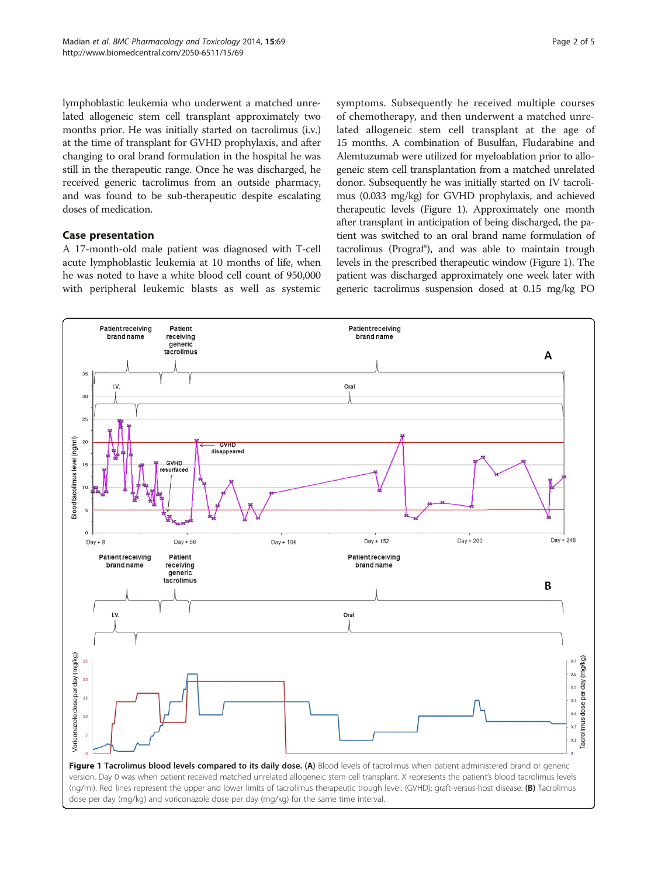<span id="page-1-0"></span>lymphoblastic leukemia who underwent a matched unrelated allogeneic stem cell transplant approximately two months prior. He was initially started on tacrolimus (i.v.) at the time of transplant for GVHD prophylaxis, and after changing to oral brand formulation in the hospital he was still in the therapeutic range. Once he was discharged, he received generic tacrolimus from an outside pharmacy, and was found to be sub-therapeutic despite escalating doses of medication.

## Case presentation

A 17-month-old male patient was diagnosed with T-cell acute lymphoblastic leukemia at 10 months of life, when he was noted to have a white blood cell count of 950,000 with peripheral leukemic blasts as well as systemic symptoms. Subsequently he received multiple courses of chemotherapy, and then underwent a matched unrelated allogeneic stem cell transplant at the age of 15 months. A combination of Busulfan, Fludarabine and Alemtuzumab were utilized for myeloablation prior to allogeneic stem cell transplantation from a matched unrelated donor. Subsequently he was initially started on IV tacrolimus (0.033 mg/kg) for GVHD prophylaxis, and achieved therapeutic levels (Figure 1). Approximately one month after transplant in anticipation of being discharged, the patient was switched to an oral brand name formulation of tacrolimus (Prograf®), and was able to maintain trough levels in the prescribed therapeutic window (Figure 1). The patient was discharged approximately one week later with generic tacrolimus suspension dosed at 0.15 mg/kg PO

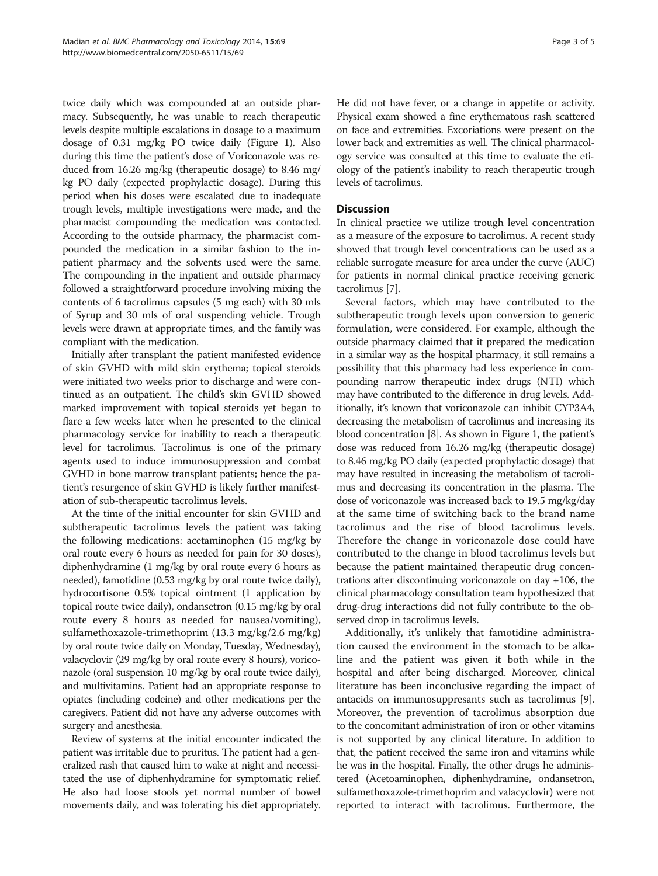twice daily which was compounded at an outside pharmacy. Subsequently, he was unable to reach therapeutic levels despite multiple escalations in dosage to a maximum dosage of 0.31 mg/kg PO twice daily (Figure [1\)](#page-1-0). Also during this time the patient's dose of Voriconazole was reduced from 16.26 mg/kg (therapeutic dosage) to 8.46 mg/ kg PO daily (expected prophylactic dosage). During this period when his doses were escalated due to inadequate trough levels, multiple investigations were made, and the pharmacist compounding the medication was contacted. According to the outside pharmacy, the pharmacist compounded the medication in a similar fashion to the inpatient pharmacy and the solvents used were the same. The compounding in the inpatient and outside pharmacy followed a straightforward procedure involving mixing the contents of 6 tacrolimus capsules (5 mg each) with 30 mls of Syrup and 30 mls of oral suspending vehicle. Trough levels were drawn at appropriate times, and the family was compliant with the medication.

Initially after transplant the patient manifested evidence of skin GVHD with mild skin erythema; topical steroids were initiated two weeks prior to discharge and were continued as an outpatient. The child's skin GVHD showed marked improvement with topical steroids yet began to flare a few weeks later when he presented to the clinical pharmacology service for inability to reach a therapeutic level for tacrolimus. Tacrolimus is one of the primary agents used to induce immunosuppression and combat GVHD in bone marrow transplant patients; hence the patient's resurgence of skin GVHD is likely further manifestation of sub-therapeutic tacrolimus levels.

At the time of the initial encounter for skin GVHD and subtherapeutic tacrolimus levels the patient was taking the following medications: acetaminophen (15 mg/kg by oral route every 6 hours as needed for pain for 30 doses), diphenhydramine (1 mg/kg by oral route every 6 hours as needed), famotidine (0.53 mg/kg by oral route twice daily), hydrocortisone 0.5% topical ointment (1 application by topical route twice daily), ondansetron (0.15 mg/kg by oral route every 8 hours as needed for nausea/vomiting), sulfamethoxazole-trimethoprim (13.3 mg/kg/2.6 mg/kg) by oral route twice daily on Monday, Tuesday, Wednesday), valacyclovir (29 mg/kg by oral route every 8 hours), voriconazole (oral suspension 10 mg/kg by oral route twice daily), and multivitamins. Patient had an appropriate response to opiates (including codeine) and other medications per the caregivers. Patient did not have any adverse outcomes with surgery and anesthesia.

Review of systems at the initial encounter indicated the patient was irritable due to pruritus. The patient had a generalized rash that caused him to wake at night and necessitated the use of diphenhydramine for symptomatic relief. He also had loose stools yet normal number of bowel movements daily, and was tolerating his diet appropriately. He did not have fever, or a change in appetite or activity. Physical exam showed a fine erythematous rash scattered on face and extremities. Excoriations were present on the lower back and extremities as well. The clinical pharmacology service was consulted at this time to evaluate the etiology of the patient's inability to reach therapeutic trough levels of tacrolimus.

## **Discussion**

In clinical practice we utilize trough level concentration as a measure of the exposure to tacrolimus. A recent study showed that trough level concentrations can be used as a reliable surrogate measure for area under the curve (AUC) for patients in normal clinical practice receiving generic tacrolimus [[7](#page-4-0)].

Several factors, which may have contributed to the subtherapeutic trough levels upon conversion to generic formulation, were considered. For example, although the outside pharmacy claimed that it prepared the medication in a similar way as the hospital pharmacy, it still remains a possibility that this pharmacy had less experience in compounding narrow therapeutic index drugs (NTI) which may have contributed to the difference in drug levels. Additionally, it's known that voriconazole can inhibit CYP3A4, decreasing the metabolism of tacrolimus and increasing its blood concentration [\[8\]](#page-4-0). As shown in Figure [1,](#page-1-0) the patient's dose was reduced from 16.26 mg/kg (therapeutic dosage) to 8.46 mg/kg PO daily (expected prophylactic dosage) that may have resulted in increasing the metabolism of tacrolimus and decreasing its concentration in the plasma. The dose of voriconazole was increased back to 19.5 mg/kg/day at the same time of switching back to the brand name tacrolimus and the rise of blood tacrolimus levels. Therefore the change in voriconazole dose could have contributed to the change in blood tacrolimus levels but because the patient maintained therapeutic drug concentrations after discontinuing voriconazole on day +106, the clinical pharmacology consultation team hypothesized that drug-drug interactions did not fully contribute to the observed drop in tacrolimus levels.

Additionally, it's unlikely that famotidine administration caused the environment in the stomach to be alkaline and the patient was given it both while in the hospital and after being discharged. Moreover, clinical literature has been inconclusive regarding the impact of antacids on immunosuppresants such as tacrolimus [\[9](#page-4-0)]. Moreover, the prevention of tacrolimus absorption due to the concomitant administration of iron or other vitamins is not supported by any clinical literature. In addition to that, the patient received the same iron and vitamins while he was in the hospital. Finally, the other drugs he administered (Acetoaminophen, diphenhydramine, ondansetron, sulfamethoxazole-trimethoprim and valacyclovir) were not reported to interact with tacrolimus. Furthermore, the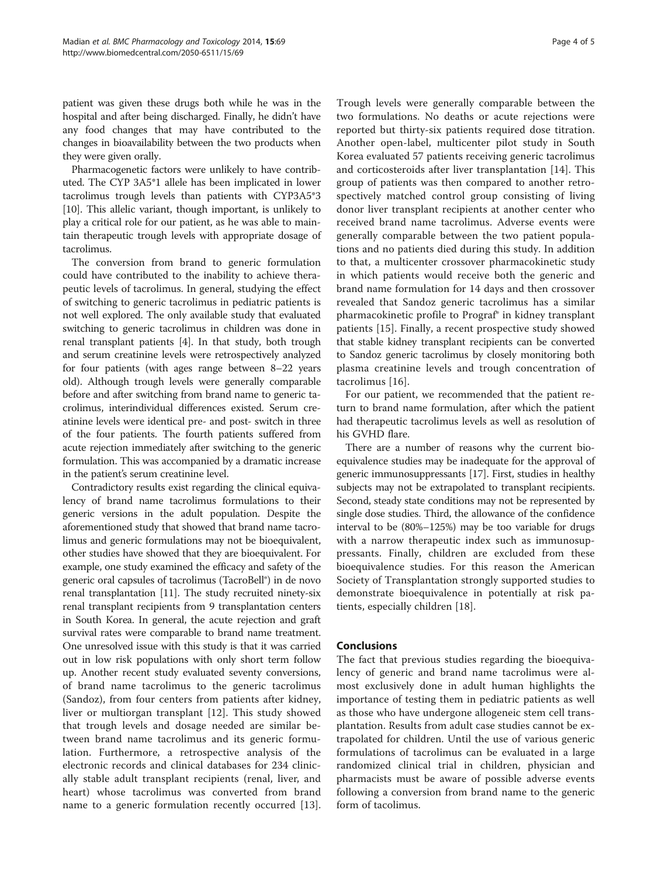patient was given these drugs both while he was in the hospital and after being discharged. Finally, he didn't have any food changes that may have contributed to the changes in bioavailability between the two products when they were given orally.

Pharmacogenetic factors were unlikely to have contributed. The CYP 3A5\*1 allele has been implicated in lower tacrolimus trough levels than patients with CYP3A5\*3 [[10](#page-4-0)]. This allelic variant, though important, is unlikely to play a critical role for our patient, as he was able to maintain therapeutic trough levels with appropriate dosage of tacrolimus.

The conversion from brand to generic formulation could have contributed to the inability to achieve therapeutic levels of tacrolimus. In general, studying the effect of switching to generic tacrolimus in pediatric patients is not well explored. The only available study that evaluated switching to generic tacrolimus in children was done in renal transplant patients [\[4\]](#page-4-0). In that study, both trough and serum creatinine levels were retrospectively analyzed for four patients (with ages range between 8–22 years old). Although trough levels were generally comparable before and after switching from brand name to generic tacrolimus, interindividual differences existed. Serum creatinine levels were identical pre- and post- switch in three of the four patients. The fourth patients suffered from acute rejection immediately after switching to the generic formulation. This was accompanied by a dramatic increase in the patient's serum creatinine level.

Contradictory results exist regarding the clinical equivalency of brand name tacrolimus formulations to their generic versions in the adult population. Despite the aforementioned study that showed that brand name tacrolimus and generic formulations may not be bioequivalent, other studies have showed that they are bioequivalent. For example, one study examined the efficacy and safety of the generic oral capsules of tacrolimus (TacroBell®) in de novo renal transplantation [[11](#page-4-0)]. The study recruited ninety-six renal transplant recipients from 9 transplantation centers in South Korea. In general, the acute rejection and graft survival rates were comparable to brand name treatment. One unresolved issue with this study is that it was carried out in low risk populations with only short term follow up. Another recent study evaluated seventy conversions, of brand name tacrolimus to the generic tacrolimus (Sandoz), from four centers from patients after kidney, liver or multiorgan transplant [\[12](#page-4-0)]. This study showed that trough levels and dosage needed are similar between brand name tacrolimus and its generic formulation. Furthermore, a retrospective analysis of the electronic records and clinical databases for 234 clinically stable adult transplant recipients (renal, liver, and heart) whose tacrolimus was converted from brand name to a generic formulation recently occurred [\[13](#page-4-0)].

Trough levels were generally comparable between the two formulations. No deaths or acute rejections were reported but thirty-six patients required dose titration. Another open-label, multicenter pilot study in South Korea evaluated 57 patients receiving generic tacrolimus and corticosteroids after liver transplantation [\[14](#page-4-0)]. This group of patients was then compared to another retrospectively matched control group consisting of living donor liver transplant recipients at another center who received brand name tacrolimus. Adverse events were generally comparable between the two patient populations and no patients died during this study. In addition to that, a multicenter crossover pharmacokinetic study in which patients would receive both the generic and brand name formulation for 14 days and then crossover revealed that Sandoz generic tacrolimus has a similar pharmacokinetic profile to Prograf® in kidney transplant patients [[15\]](#page-4-0). Finally, a recent prospective study showed that stable kidney transplant recipients can be converted to Sandoz generic tacrolimus by closely monitoring both plasma creatinine levels and trough concentration of tacrolimus [\[16](#page-4-0)].

For our patient, we recommended that the patient return to brand name formulation, after which the patient had therapeutic tacrolimus levels as well as resolution of his GVHD flare.

There are a number of reasons why the current bioequivalence studies may be inadequate for the approval of generic immunosuppressants [[17](#page-4-0)]. First, studies in healthy subjects may not be extrapolated to transplant recipients. Second, steady state conditions may not be represented by single dose studies. Third, the allowance of the confidence interval to be (80%–125%) may be too variable for drugs with a narrow therapeutic index such as immunosuppressants. Finally, children are excluded from these bioequivalence studies. For this reason the American Society of Transplantation strongly supported studies to demonstrate bioequivalence in potentially at risk patients, especially children [\[18](#page-4-0)].

## Conclusions

The fact that previous studies regarding the bioequivalency of generic and brand name tacrolimus were almost exclusively done in adult human highlights the importance of testing them in pediatric patients as well as those who have undergone allogeneic stem cell transplantation. Results from adult case studies cannot be extrapolated for children. Until the use of various generic formulations of tacrolimus can be evaluated in a large randomized clinical trial in children, physician and pharmacists must be aware of possible adverse events following a conversion from brand name to the generic form of tacolimus.